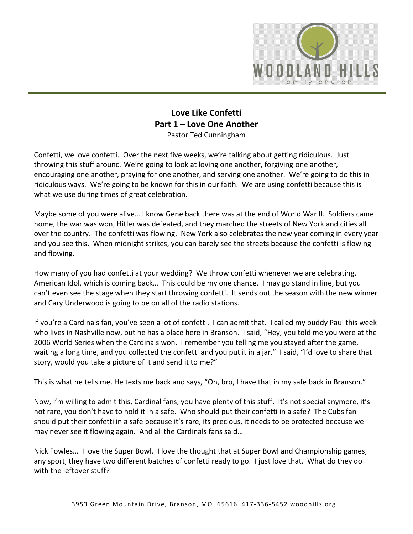

## **Love Like Confetti Part 1 – Love One Another**  Pastor Ted Cunningham

Confetti, we love confetti. Over the next five weeks, we're talking about getting ridiculous. Just throwing this stuff around. We're going to look at loving one another, forgiving one another, encouraging one another, praying for one another, and serving one another. We're going to do this in ridiculous ways. We're going to be known for this in our faith. We are using confetti because this is what we use during times of great celebration.

Maybe some of you were alive… I know Gene back there was at the end of World War II. Soldiers came home, the war was won, Hitler was defeated, and they marched the streets of New York and cities all over the country. The confetti was flowing. New York also celebrates the new year coming in every year and you see this. When midnight strikes, you can barely see the streets because the confetti is flowing and flowing.

How many of you had confetti at your wedding? We throw confetti whenever we are celebrating. American Idol, which is coming back… This could be my one chance. I may go stand in line, but you can't even see the stage when they start throwing confetti. It sends out the season with the new winner and Cary Underwood is going to be on all of the radio stations.

If you're a Cardinals fan, you've seen a lot of confetti. I can admit that. I called my buddy Paul this week who lives in Nashville now, but he has a place here in Branson. I said, "Hey, you told me you were at the 2006 World Series when the Cardinals won. I remember you telling me you stayed after the game, waiting a long time, and you collected the confetti and you put it in a jar." I said, "I'd love to share that story, would you take a picture of it and send it to me?"

This is what he tells me. He texts me back and says, "Oh, bro, I have that in my safe back in Branson."

Now, I'm willing to admit this, Cardinal fans, you have plenty of this stuff. It's not special anymore, it's not rare, you don't have to hold it in a safe. Who should put their confetti in a safe? The Cubs fan should put their confetti in a safe because it's rare, its precious, it needs to be protected because we may never see it flowing again. And all the Cardinals fans said…

Nick Fowles… I love the Super Bowl. I love the thought that at Super Bowl and Championship games, any sport, they have two different batches of confetti ready to go. I just love that. What do they do with the leftover stuff?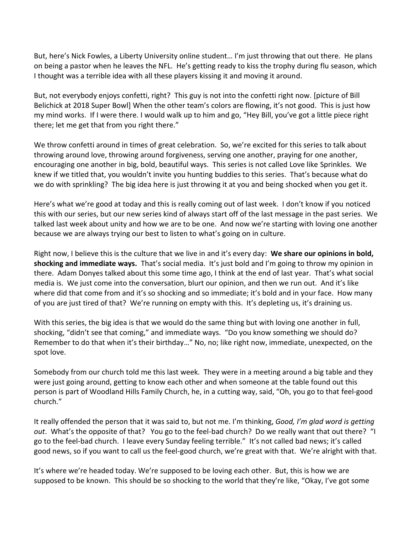But, here's Nick Fowles, a Liberty University online student… I'm just throwing that out there. He plans on being a pastor when he leaves the NFL. He's getting ready to kiss the trophy during flu season, which I thought was a terrible idea with all these players kissing it and moving it around.

But, not everybody enjoys confetti, right? This guy is not into the confetti right now. [picture of Bill Belichick at 2018 Super Bowl] When the other team's colors are flowing, it's not good. This is just how my mind works. If I were there. I would walk up to him and go, "Hey Bill, you've got a little piece right there; let me get that from you right there."

We throw confetti around in times of great celebration. So, we're excited for this series to talk about throwing around love, throwing around forgiveness, serving one another, praying for one another, encouraging one another in big, bold, beautiful ways. This series is not called Love like Sprinkles. We knew if we titled that, you wouldn't invite you hunting buddies to this series. That's because what do we do with sprinkling? The big idea here is just throwing it at you and being shocked when you get it.

Here's what we're good at today and this is really coming out of last week. I don't know if you noticed this with our series, but our new series kind of always start off of the last message in the past series. We talked last week about unity and how we are to be one. And now we're starting with loving one another because we are always trying our best to listen to what's going on in culture.

Right now, I believe this is the culture that we live in and it's every day: **We share our opinions in bold, shocking and immediate ways.** That's social media. It's just bold and I'm going to throw my opinion in there. Adam Donyes talked about this some time ago, I think at the end of last year. That's what social media is. We just come into the conversation, blurt our opinion, and then we run out. And it's like where did that come from and it's so shocking and so immediate; it's bold and in your face. How many of you are just tired of that? We're running on empty with this. It's depleting us, it's draining us.

With this series, the big idea is that we would do the same thing but with loving one another in full, shocking, "didn't see that coming," and immediate ways. "Do you know something we should do? Remember to do that when it's their birthday…" No, no; like right now, immediate, unexpected, on the spot love.

Somebody from our church told me this last week. They were in a meeting around a big table and they were just going around, getting to know each other and when someone at the table found out this person is part of Woodland Hills Family Church, he, in a cutting way, said, "Oh, you go to that feel-good church."

It really offended the person that it was said to, but not me. I'm thinking, *Good, I'm glad word is getting out*. What's the opposite of that? You go to the feel-bad church? Do we really want that out there? "I go to the feel-bad church. I leave every Sunday feeling terrible." It's not called bad news; it's called good news, so if you want to call us the feel-good church, we're great with that. We're alright with that.

It's where we're headed today. We're supposed to be loving each other. But, this is how we are supposed to be known. This should be so shocking to the world that they're like, "Okay, I've got some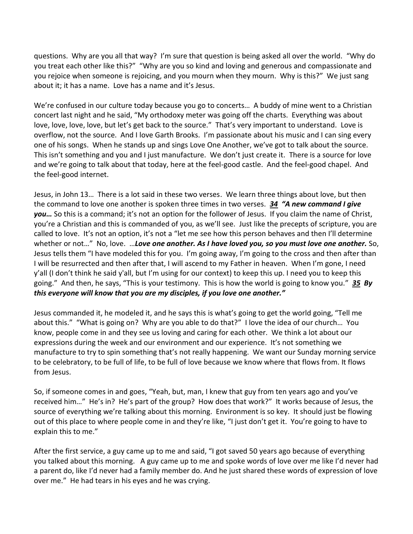questions. Why are you all that way? I'm sure that question is being asked all over the world. "Why do you treat each other like this?" "Why are you so kind and loving and generous and compassionate and you rejoice when someone is rejoicing, and you mourn when they mourn. Why is this?" We just sang about it; it has a name. Love has a name and it's Jesus.

We're confused in our culture today because you go to concerts… A buddy of mine went to a Christian concert last night and he said, "My orthodoxy meter was going off the charts. Everything was about love, love, love, love, but let's get back to the source." That's very important to understand. Love is overflow, not the source. And I love Garth Brooks. I'm passionate about his music and I can sing every one of his songs. When he stands up and sings Love One Another, we've got to talk about the source. This isn't something and you and I just manufacture. We don't just create it. There is a source for love and we're going to talk about that today, here at the feel-good castle. And the feel-good chapel. And the feel-good internet.

Jesus, in John 13… There is a lot said in these two verses. We learn three things about love, but then the command to love one another is spoken three times in two verses. *[34](https://www.studylight.org/desk/?q=joh%2013:34&t1=en_niv&sr=1) "A new command I give you…* So this is a command; it's not an option for the follower of Jesus. If you claim the name of Christ, you're a Christian and this is commanded of you, as we'll see. Just like the precepts of scripture, you are called to love. It's not an option, it's not a "let me see how this person behaves and then I'll determine whether or not..." No, love. ... Love one another. As I have loved you, so you must love one another. So, Jesus tells them "I have modeled this for you. I'm going away, I'm going to the cross and then after than I will be resurrected and then after that, I will ascend to my Father in heaven. When I'm gone, I need y'all (I don't think he said y'all, but I'm using for our context) to keep this up. I need you to keep this going." And then, he says, "This is your testimony. This is how the world is going to know you." *[35](https://www.studylight.org/desk/?q=joh%2013:35&t1=en_niv&sr=1) By this everyone will know that you are my disciples, if you love one another."*

Jesus commanded it, he modeled it, and he says this is what's going to get the world going, "Tell me about this." "What is going on? Why are you able to do that?" I love the idea of our church… You know, people come in and they see us loving and caring for each other. We think a lot about our expressions during the week and our environment and our experience. It's not something we manufacture to try to spin something that's not really happening. We want our Sunday morning service to be celebratory, to be full of life, to be full of love because we know where that flows from. It flows from Jesus.

So, if someone comes in and goes, "Yeah, but, man, I knew that guy from ten years ago and you've received him…" He's in? He's part of the group? How does that work?" It works because of Jesus, the source of everything we're talking about this morning. Environment is so key. It should just be flowing out of this place to where people come in and they're like, "I just don't get it. You're going to have to explain this to me."

After the first service, a guy came up to me and said, "I got saved 50 years ago because of everything you talked about this morning. A guy came up to me and spoke words of love over me like I'd never had a parent do, like I'd never had a family member do. And he just shared these words of expression of love over me." He had tears in his eyes and he was crying.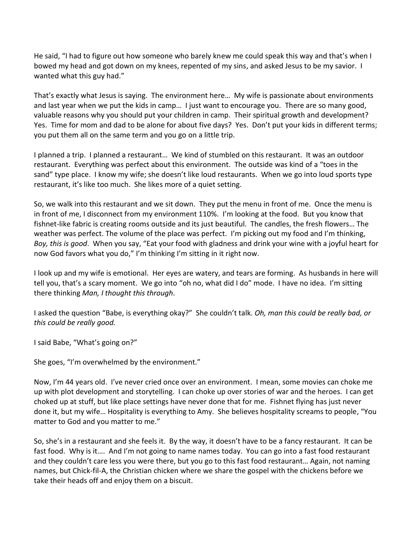He said, "I had to figure out how someone who barely knew me could speak this way and that's when I bowed my head and got down on my knees, repented of my sins, and asked Jesus to be my savior. I wanted what this guy had."

That's exactly what Jesus is saying. The environment here… My wife is passionate about environments and last year when we put the kids in camp… I just want to encourage you. There are so many good, valuable reasons why you should put your children in camp. Their spiritual growth and development? Yes. Time for mom and dad to be alone for about five days? Yes. Don't put your kids in different terms; you put them all on the same term and you go on a little trip.

I planned a trip. I planned a restaurant… We kind of stumbled on this restaurant. It was an outdoor restaurant. Everything was perfect about this environment. The outside was kind of a "toes in the sand" type place. I know my wife; she doesn't like loud restaurants. When we go into loud sports type restaurant, it's like too much. She likes more of a quiet setting.

So, we walk into this restaurant and we sit down. They put the menu in front of me. Once the menu is in front of me, I disconnect from my environment 110%. I'm looking at the food. But you know that fishnet-like fabric is creating rooms outside and its just beautiful. The candles, the fresh flowers… The weather was perfect. The volume of the place was perfect. I'm picking out my food and I'm thinking, *Boy, this is good*. When you say, "Eat your food with gladness and drink your wine with a joyful heart for now God favors what you do," I'm thinking I'm sitting in it right now.

I look up and my wife is emotional. Her eyes are watery, and tears are forming. As husbands in here will tell you, that's a scary moment. We go into "oh no, what did I do" mode. I have no idea. I'm sitting there thinking *Man, I thought this through*.

I asked the question "Babe, is everything okay?" She couldn't talk. *Oh, man this could be really bad, or this could be really good.*

I said Babe, "What's going on?"

She goes, "I'm overwhelmed by the environment."

Now, I'm 44 years old. I've never cried once over an environment. I mean, some movies can choke me up with plot development and storytelling. I can choke up over stories of war and the heroes. I can get choked up at stuff, but like place settings have never done that for me. Fishnet flying has just never done it, but my wife… Hospitality is everything to Amy. She believes hospitality screams to people, "You matter to God and you matter to me."

So, she's in a restaurant and she feels it. By the way, it doesn't have to be a fancy restaurant. It can be fast food. Why is it…. And I'm not going to name names today. You can go into a fast food restaurant and they couldn't care less you were there, but you go to this fast food restaurant… Again, not naming names, but Chick-fil-A, the Christian chicken where we share the gospel with the chickens before we take their heads off and enjoy them on a biscuit.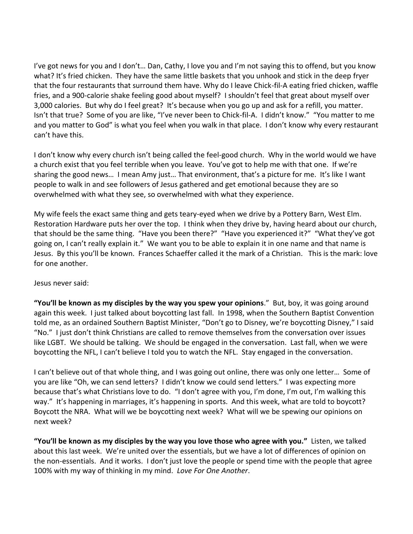I've got news for you and I don't… Dan, Cathy, I love you and I'm not saying this to offend, but you know what? It's fried chicken. They have the same little baskets that you unhook and stick in the deep fryer that the four restaurants that surround them have. Why do I leave Chick-fil-A eating fried chicken, waffle fries, and a 900-calorie shake feeling good about myself? I shouldn't feel that great about myself over 3,000 calories. But why do I feel great? It's because when you go up and ask for a refill, you matter. Isn't that true? Some of you are like, "I've never been to Chick-fil-A. I didn't know." "You matter to me and you matter to God" is what you feel when you walk in that place. I don't know why every restaurant can't have this.

I don't know why every church isn't being called the feel-good church. Why in the world would we have a church exist that you feel terrible when you leave. You've got to help me with that one. If we're sharing the good news… I mean Amy just… That environment, that's a picture for me. It's like I want people to walk in and see followers of Jesus gathered and get emotional because they are so overwhelmed with what they see, so overwhelmed with what they experience.

My wife feels the exact same thing and gets teary-eyed when we drive by a Pottery Barn, West Elm. Restoration Hardware puts her over the top. I think when they drive by, having heard about our church, that should be the same thing. "Have you been there?" "Have you experienced it?" "What they've got going on, I can't really explain it." We want you to be able to explain it in one name and that name is Jesus. By this you'll be known. Frances Schaeffer called it the mark of a Christian. This is the mark: love for one another.

## Jesus never said:

**"You'll be known as my disciples by the way you spew your opinions**." But, boy, it was going around again this week. I just talked about boycotting last fall. In 1998, when the Southern Baptist Convention told me, as an ordained Southern Baptist Minister, "Don't go to Disney, we're boycotting Disney," I said "No." I just don't think Christians are called to remove themselves from the conversation over issues like LGBT. We should be talking. We should be engaged in the conversation. Last fall, when we were boycotting the NFL, I can't believe I told you to watch the NFL. Stay engaged in the conversation.

I can't believe out of that whole thing, and I was going out online, there was only one letter… Some of you are like "Oh, we can send letters? I didn't know we could send letters." I was expecting more because that's what Christians love to do. "I don't agree with you, I'm done, I'm out, I'm walking this way." It's happening in marriages, it's happening in sports. And this week, what are told to boycott? Boycott the NRA. What will we be boycotting next week? What will we be spewing our opinions on next week?

**"You'll be known as my disciples by the way you love those who agree with you."** Listen, we talked about this last week. We're united over the essentials, but we have a lot of differences of opinion on the non-essentials. And it works. I don't just love the people or spend time with the people that agree 100% with my way of thinking in my mind. *Love For One Another*.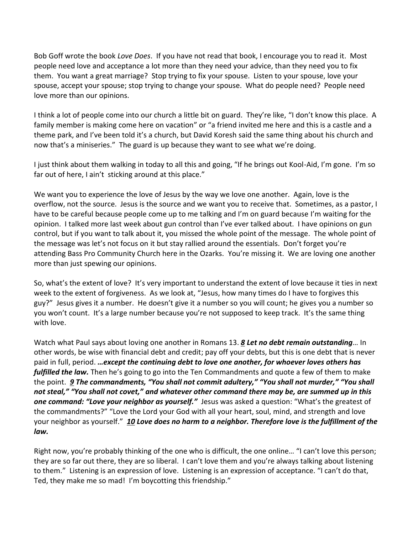Bob Goff wrote the book *Love Does*. If you have not read that book, I encourage you to read it. Most people need love and acceptance a lot more than they need your advice, than they need you to fix them. You want a great marriage? Stop trying to fix your spouse. Listen to your spouse, love your spouse, accept your spouse; stop trying to change your spouse. What do people need? People need love more than our opinions.

I think a lot of people come into our church a little bit on guard. They're like, "I don't know this place. A family member is making come here on vacation" or "a friend invited me here and this is a castle and a theme park, and I've been told it's a church, but David Koresh said the same thing about his church and now that's a miniseries." The guard is up because they want to see what we're doing.

I just think about them walking in today to all this and going, "If he brings out Kool-Aid, I'm gone. I'm so far out of here, I ain't sticking around at this place."

We want you to experience the love of Jesus by the way we love one another. Again, love is the overflow, not the source. Jesus is the source and we want you to receive that. Sometimes, as a pastor, I have to be careful because people come up to me talking and I'm on guard because I'm waiting for the opinion. I talked more last week about gun control than I've ever talked about. I have opinions on gun control, but if you want to talk about it, you missed the whole point of the message. The whole point of the message was let's not focus on it but stay rallied around the essentials. Don't forget you're attending Bass Pro Community Church here in the Ozarks. You're missing it. We are loving one another more than just spewing our opinions.

So, what's the extent of love? It's very important to understand the extent of love because it ties in next week to the extent of forgiveness. As we look at, "Jesus, how many times do I have to forgives this guy?" Jesus gives it a number. He doesn't give it a number so you will count; he gives you a number so you won't count. It's a large number because you're not supposed to keep track. It's the same thing with love.

Watch what Paul says about loving one another in Romans 13. *[8](https://www.studylight.org/desk/?q=ro%2013:8&t1=en_niv&sr=1) Let no debt remain outstanding*… In other words, be wise with financial debt and credit; pay off your debts, but this is one debt that is never paid in full, period. *…except the continuing debt to love one another, for whoever loves others has fulfilled the law.* Then he's going to go into the Ten Commandments and quote a few of them to make the point. *[9](https://www.studylight.org/desk/?q=ro%2013:9&t1=en_niv&sr=1) The commandments, "You shall not commit adultery," "You shall not murder," "You shall not steal," "You shall not covet," and whatever other command there may be, are summed up in this one command: "Love your neighbor as yourself."* Jesus was asked a question: "What's the greatest of the commandments?" "Love the Lord your God with all your heart, soul, mind, and strength and love your neighbor as yourself." *[10](https://www.studylight.org/desk/?q=ro%2013:10&t1=en_niv&sr=1) Love does no harm to a neighbor. Therefore love is the fulfillment of the law.*

Right now, you're probably thinking of the one who is difficult, the one online… "I can't love this person; they are so far out there, they are so liberal. I can't love them and you're always talking about listening to them." Listening is an expression of love. Listening is an expression of acceptance. "I can't do that, Ted, they make me so mad! I'm boycotting this friendship."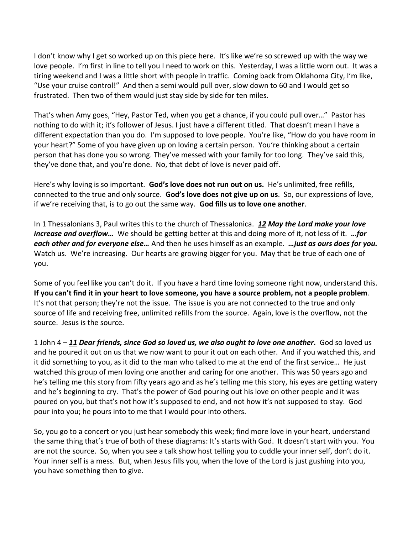I don't know why I get so worked up on this piece here. It's like we're so screwed up with the way we love people. I'm first in line to tell you I need to work on this. Yesterday, I was a little worn out. It was a tiring weekend and I was a little short with people in traffic. Coming back from Oklahoma City, I'm like, "Use your cruise control!" And then a semi would pull over, slow down to 60 and I would get so frustrated. Then two of them would just stay side by side for ten miles.

That's when Amy goes, "Hey, Pastor Ted, when you get a chance, if you could pull over…" Pastor has nothing to do with it; it's follower of Jesus. I just have a different titled. That doesn't mean I have a different expectation than you do. I'm supposed to love people. You're like, "How do you have room in your heart?" Some of you have given up on loving a certain person. You're thinking about a certain person that has done you so wrong. They've messed with your family for too long. They've said this, they've done that, and you're done. No, that debt of love is never paid off.

Here's why loving is so important. **God's love does not run out on us.** He's unlimited, free refills, connected to the true and only source. **God's love does not give up on us**. So, our expressions of love, if we're receiving that, is to go out the same way. **God fills us to love one another**.

In 1 Thessalonians 3, Paul writes this to the church of Thessalonica. *[12](https://www.studylight.org/desk/?q=1th%203:12&t1=en_niv&sr=1) May the Lord make your love increase and overflow…* We should be getting better at this and doing more of it, not less of it. *…for each other and for everyone else…* And then he uses himself as an example. *…just as ours does for you.*  Watch us. We're increasing. Our hearts are growing bigger for you. May that be true of each one of you.

Some of you feel like you can't do it. If you have a hard time loving someone right now, understand this. **If you can't find it in your heart to love someone, you have a source problem, not a people problem**. It's not that person; they're not the issue. The issue is you are not connected to the true and only source of life and receiving free, unlimited refills from the source. Again, love is the overflow, not the source. Jesus is the source.

1 John 4 – *[11](https://www.studylight.org/desk/?q=1jo%204:11&t1=en_niv&sr=1) Dear friends, since God so loved us, we also ought to love one another.* God so loved us and he poured it out on us that we now want to pour it out on each other. And if you watched this, and it did something to you, as it did to the man who talked to me at the end of the first service… He just watched this group of men loving one another and caring for one another. This was 50 years ago and he's telling me this story from fifty years ago and as he's telling me this story, his eyes are getting watery and he's beginning to cry. That's the power of God pouring out his love on other people and it was poured on you, but that's not how it's supposed to end, and not how it's not supposed to stay. God pour into you; he pours into to me that I would pour into others.

So, you go to a concert or you just hear somebody this week; find more love in your heart, understand the same thing that's true of both of these diagrams: It's starts with God. It doesn't start with you. You are not the source. So, when you see a talk show host telling you to cuddle your inner self, don't do it. Your inner self is a mess. But, when Jesus fills you, when the love of the Lord is just gushing into you, you have something then to give.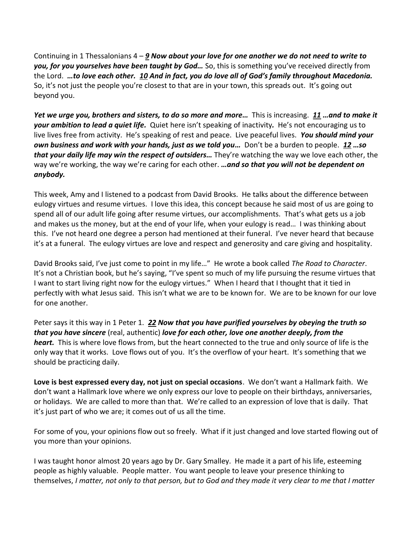Continuing in 1 Thessalonians 4 – *[9](https://www.studylight.org/desk/?q=1th%204:9&t1=en_niv&sr=1) Now about your love for one another we do not need to write to you, for you yourselves have been taught by God…* So, this is something you've received directly from the Lord. *…to love each other. [10](https://www.studylight.org/desk/?q=1th%204:10&t1=en_niv&sr=1) And in fact, you do love all of God's family throughout Macedonia.*  So, it's not just the people you're closest to that are in your town, this spreads out. It's going out beyond you.

*Yet we urge you, brothers and sisters, to do so more and more…* This is increasing. *[11](https://www.studylight.org/desk/?q=1th%204:11&t1=en_niv&sr=1) …and to make it your ambition to lead a quiet life.* Quiet here isn't speaking of inactivity*.* He's not encouraging us to live lives free from activity. He's speaking of rest and peace. Live peaceful lives. *You should mind your own business and work with your hands, just as we told you…* Don't be a burden to people. *[12](https://www.studylight.org/desk/?q=1th%204:12&t1=en_niv&sr=1) …so that your daily life may win the respect of outsiders…* They're watching the way we love each other, the way we're working, the way we're caring for each other. *…and so that you will not be dependent on anybody.* 

This week, Amy and I listened to a podcast from David Brooks. He talks about the difference between eulogy virtues and resume virtues. I love this idea, this concept because he said most of us are going to spend all of our adult life going after resume virtues, our accomplishments. That's what gets us a job and makes us the money, but at the end of your life, when your eulogy is read… I was thinking about this. I've not heard one degree a person had mentioned at their funeral. I've never heard that because it's at a funeral. The eulogy virtues are love and respect and generosity and care giving and hospitality.

David Brooks said, I've just come to point in my life…" He wrote a book called *The Road to Character*. It's not a Christian book, but he's saying, "I've spent so much of my life pursuing the resume virtues that I want to start living right now for the eulogy virtues." When I heard that I thought that it tied in perfectly with what Jesus said. This isn't what we are to be known for. We are to be known for our love for one another.

Peter says it this way in 1 Peter 1. *[22](https://www.studylight.org/desk/?q=1pe%201:22&t1=en_niv&sr=1) Now that you have purified yourselves by obeying the truth so that you have sincere* (real, authentic) *love for each other, love one another deeply, from the heart.* This is where love flows from, but the heart connected to the true and only source of life is the only way that it works. Love flows out of you. It's the overflow of your heart. It's something that we should be practicing daily.

**Love is best expressed every day, not just on special occasions**. We don't want a Hallmark faith. We don't want a Hallmark love where we only express our love to people on their birthdays, anniversaries, or holidays. We are called to more than that. We're called to an expression of love that is daily. That it's just part of who we are; it comes out of us all the time.

For some of you, your opinions flow out so freely. What if it just changed and love started flowing out of you more than your opinions.

I was taught honor almost 20 years ago by Dr. Gary Smalley. He made it a part of his life, esteeming people as highly valuable. People matter. You want people to leave your presence thinking to themselves, *I matter, not only to that person, but to God and they made it very clear to me that I matter*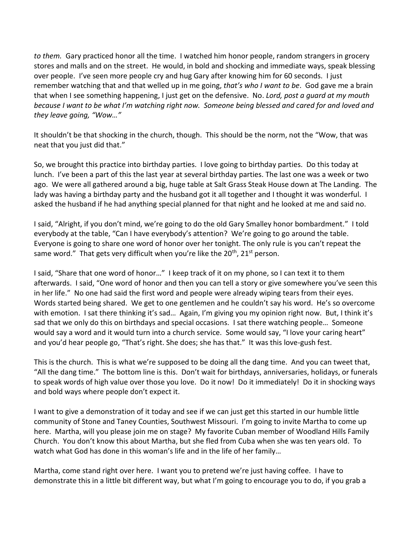*to them.* Gary practiced honor all the time. I watched him honor people, random strangers in grocery stores and malls and on the street. He would, in bold and shocking and immediate ways, speak blessing over people. I've seen more people cry and hug Gary after knowing him for 60 seconds. I just remember watching that and that welled up in me going, *that's who I want to be*. God gave me a brain that when I see something happening, I just get on the defensive. No. *Lord, post a guard at my mouth because I want to be what I'm watching right now. Someone being blessed and cared for and loved and they leave going, "Wow…"*

It shouldn't be that shocking in the church, though. This should be the norm, not the "Wow, that was neat that you just did that."

So, we brought this practice into birthday parties. I love going to birthday parties. Do this today at lunch. I've been a part of this the last year at several birthday parties. The last one was a week or two ago. We were all gathered around a big, huge table at Salt Grass Steak House down at The Landing. The lady was having a birthday party and the husband got it all together and I thought it was wonderful. I asked the husband if he had anything special planned for that night and he looked at me and said no.

I said, "Alright, if you don't mind, we're going to do the old Gary Smalley honor bombardment." I told everybody at the table, "Can I have everybody's attention? We're going to go around the table. Everyone is going to share one word of honor over her tonight. The only rule is you can't repeat the same word." That gets very difficult when you're like the  $20<sup>th</sup>$ ,  $21<sup>st</sup>$  person.

I said, "Share that one word of honor…" I keep track of it on my phone, so I can text it to them afterwards. I said, "One word of honor and then you can tell a story or give somewhere you've seen this in her life." No one had said the first word and people were already wiping tears from their eyes. Words started being shared. We get to one gentlemen and he couldn't say his word. He's so overcome with emotion. I sat there thinking it's sad... Again, I'm giving you my opinion right now. But, I think it's sad that we only do this on birthdays and special occasions. I sat there watching people… Someone would say a word and it would turn into a church service. Some would say, "I love your caring heart" and you'd hear people go, "That's right. She does; she has that." It was this love-gush fest.

This is the church. This is what we're supposed to be doing all the dang time. And you can tweet that, "All the dang time." The bottom line is this. Don't wait for birthdays, anniversaries, holidays, or funerals to speak words of high value over those you love. Do it now! Do it immediately! Do it in shocking ways and bold ways where people don't expect it.

I want to give a demonstration of it today and see if we can just get this started in our humble little community of Stone and Taney Counties, Southwest Missouri. I'm going to invite Martha to come up here. Martha, will you please join me on stage? My favorite Cuban member of Woodland Hills Family Church. You don't know this about Martha, but she fled from Cuba when she was ten years old. To watch what God has done in this woman's life and in the life of her family…

Martha, come stand right over here. I want you to pretend we're just having coffee. I have to demonstrate this in a little bit different way, but what I'm going to encourage you to do, if you grab a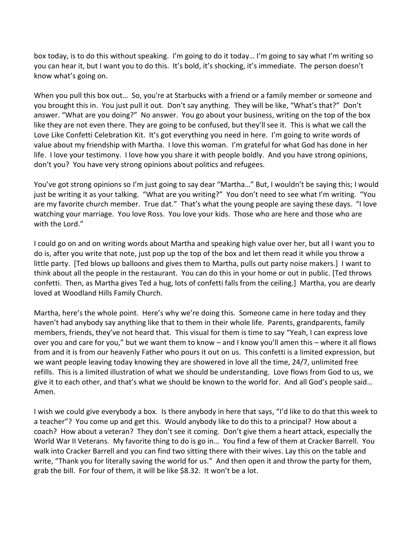box today, is to do this without speaking. I'm going to do it today… I'm going to say what I'm writing so you can hear it, but I want you to do this. It's bold, it's shocking, it's immediate. The person doesn't know what's going on.

When you pull this box out… So, you're at Starbucks with a friend or a family member or someone and you brought this in. You just pull it out. Don't say anything. They will be like, "What's that?" Don't answer. "What are you doing?" No answer. You go about your business, writing on the top of the box like they are not even there. They are going to be confused, but they'll see it. This is what we call the Love Like Confetti Celebration Kit. It's got everything you need in here. I'm going to write words of value about my friendship with Martha. I love this woman. I'm grateful for what God has done in her life. I love your testimony. I love how you share it with people boldly. And you have strong opinions, don't you? You have very strong opinions about politics and refugees.

You've got strong opinions so I'm just going to say dear "Martha…" But, I wouldn't be saying this; I would just be writing it as your talking. "What are you writing?" You don't need to see what I'm writing. "You are my favorite church member. True dat." That's what the young people are saying these days. "I love watching your marriage. You love Ross. You love your kids. Those who are here and those who are with the Lord."

I could go on and on writing words about Martha and speaking high value over her, but all I want you to do is, after you write that note, just pop up the top of the box and let them read it while you throw a little party. [Ted blows up balloons and gives them to Martha, pulls out party noise makers.] I want to think about all the people in the restaurant. You can do this in your home or out in public. [Ted throws confetti. Then, as Martha gives Ted a hug, lots of confetti falls from the ceiling.] Martha, you are dearly loved at Woodland Hills Family Church.

Martha, here's the whole point. Here's why we're doing this. Someone came in here today and they haven't had anybody say anything like that to them in their whole life. Parents, grandparents, family members, friends, they've not heard that. This visual for them is time to say "Yeah, I can express love over you and care for you," but we want them to know – and I know you'll amen this – where it all flows from and it is from our heavenly Father who pours it out on us. This confetti is a limited expression, but we want people leaving today knowing they are showered in love all the time, 24/7, unlimited free refills. This is a limited illustration of what we should be understanding. Love flows from God to us, we give it to each other, and that's what we should be known to the world for. And all God's people said… Amen.

I wish we could give everybody a box. Is there anybody in here that says, "I'd like to do that this week to a teacher"? You come up and get this. Would anybody like to do this to a principal? How about a coach? How about a veteran? They don't see it coming. Don't give them a heart attack, especially the World War II Veterans. My favorite thing to do is go in… You find a few of them at Cracker Barrell. You walk into Cracker Barrell and you can find two sitting there with their wives. Lay this on the table and write, "Thank you for literally saving the world for us." And then open it and throw the party for them, grab the bill. For four of them, it will be like \$8.32. It won't be a lot.